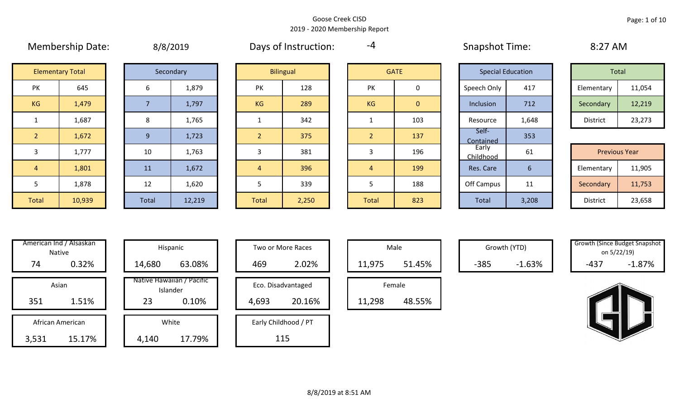|                | <b>IVICITINGIJIIIN DULC.</b> |       | $U/U$ 2019 |                | <b>DUYS OF HISLINGLIOTI.</b> |                |              | JUUPJUUL TUUL.           |                  | $U: L \rightarrow V \rightarrow V$ |        |
|----------------|------------------------------|-------|------------|----------------|------------------------------|----------------|--------------|--------------------------|------------------|------------------------------------|--------|
|                | <b>Elementary Total</b>      |       | Secondary  |                | <b>Bilingual</b>             |                | <b>GATE</b>  | <b>Special Education</b> |                  | Total                              |        |
| PK             | 645                          | 6     | 1,879      | PK             | 128                          | <b>PK</b>      | 0            | Speech Only              | 417              | Elementary                         | 11,054 |
| KG             | 1,479                        |       | 1,797      | KG             | 289                          | KG             | $\mathbf{0}$ | Inclusion                | 712              | Secondary                          | 12,219 |
|                | 1,687                        | 8     | 1,765      |                | 342                          |                | 103          | Resource                 | 1,648            | District                           | 23,273 |
| $\overline{2}$ | 1,672                        | 9     | 1,723      | $\overline{2}$ | 375                          | $\overline{2}$ | 137          | Self-<br>Contained       | 353              |                                    |        |
| 3              | 1,777                        | 10    | 1,763      | 3              | 381                          | 3              | 196          | Early<br>Childhood       | 61               | <b>Previous Year</b>               |        |
| $\overline{4}$ | 1,801                        | 11    | 1,672      | $\overline{4}$ | 396                          | $\overline{4}$ | 199          | Res. Care                | $6 \overline{6}$ | Elementary                         | 11,905 |
| 5              | 1,878                        | 12    | 1,620      |                | 339                          | 5              | 188          | Off Campus               | 11               | Secondary                          | 11,753 |
| Total          | 10,939                       | Total | 12,219     | <b>Total</b>   | 2,250                        | Total          | 823          | Total                    | 3,208            | District                           | 23,658 |

|  | 8/8/2019 |
|--|----------|
|  |          |

Membership Date:  $\mu$  8/8/2019 Membership Days of Instruction:  $\mu$  -4 Snapshot Time: 8:27 AM

-4

|             | <b>Special Education</b> |                 | Total  |
|-------------|--------------------------|-----------------|--------|
| Speech Only | 417                      | Elementary      | 11,054 |
| Inclusion   | 712                      | Secondary       | 12,219 |
| Resource    | 1,648                    | <b>District</b> | 23,273 |

|      |        |       |        |       |       |              |     | ___________        |              |                      |        |
|------|--------|-------|--------|-------|-------|--------------|-----|--------------------|--------------|----------------------|--------|
|      | 1,777  | 10    | 1,763  |       | 381   |              | 196 | Early<br>Childhood | 61           | <b>Previous Year</b> |        |
|      | 1,801  | 11    | 1,672  |       | 396   |              | 199 | Res. Care          |              | Elementary           | 11,905 |
|      | 1,878  | 12    | 1,620  |       | 339   |              | 188 | Off Campus         | $\sim$<br>ᆠᆂ | Secondary            | 11,753 |
| otal | 10,939 | Total | 12,219 | Total | 2,250 | <b>Total</b> | 823 | <b>Total</b>       | 3,208        | District             | 23,658 |

|       | American Ind / Alsaskan<br><b>Native</b> | Hispani                    |
|-------|------------------------------------------|----------------------------|
| 74    | 0.32%                                    | 14,680                     |
|       | Asian                                    | Native Hawaiiai<br>Islande |
| 351   | 1.51%                                    | 23                         |
|       | African American                         | White                      |
| 3,531 | 15.17%                                   | 4,140                      |
|       |                                          |                            |

| illericali illu / Alsaskall<br>Native | Hispanic                              | Two or More Races    | Male             | Growth (YTD)       | <b>Growth (Since Budget Shapsr</b><br>on 5/22/19) |
|---------------------------------------|---------------------------------------|----------------------|------------------|--------------------|---------------------------------------------------|
| 0.32%<br>74                           | 63.08%<br>14,680                      | 2.02%<br>469         | 51.45%<br>11,975 | $-1.63%$<br>$-385$ | $-1.87%$<br>$-437$                                |
| Asian                                 | Native Hawaiian / Pacific<br>Islander | Eco. Disadvantaged   | Female           |                    |                                                   |
| 1.51%<br>351                          | 23<br>0.10%                           | 20.16%<br>4,693      | 48.55%<br>11,298 |                    |                                                   |
| African American                      | White                                 | Early Childhood / PT |                  |                    |                                                   |
| 15.17%<br>3,531                       | 17.79%<br>4,140                       | 115                  |                  |                    |                                                   |

| Hispanic                       |       | <b>Two or More Races</b> |        | Male   |
|--------------------------------|-------|--------------------------|--------|--------|
| 63.08%                         | 469   | 2.02%                    | 11,975 |        |
| lawaiian / Pacific<br>Islander |       | Eco. Disadvantaged       |        | Female |
| 0.10%                          | 4,693 | 20.16%                   | 11,298 | ı      |
| White                          |       | Early Childhood / PT     |        |        |
| 17.79%                         |       | 115                      |        |        |

|        | Male   |  |
|--------|--------|--|
| 11,975 | 51.45% |  |
|        |        |  |
|        | Female |  |

Growth (YTD) Growth (Since Budget Snapshot on 5/22/19)

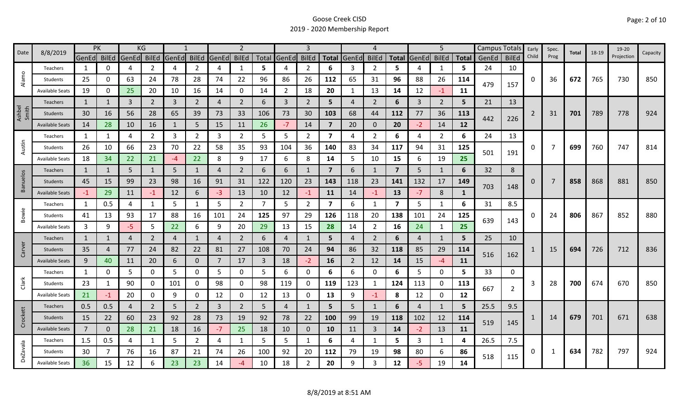| Date            | 8/8/2019               | PK             |          | KG    |                |                |                |       | $\mathcal{P}$  |     |                   | 3              |                         |                | 4              |                         |       | 5              |              |       | Campus Totals  | Early    | Spec.          | Total | 18-19 | 19-20      | Capacity |
|-----------------|------------------------|----------------|----------|-------|----------------|----------------|----------------|-------|----------------|-----|-------------------|----------------|-------------------------|----------------|----------------|-------------------------|-------|----------------|--------------|-------|----------------|----------|----------------|-------|-------|------------|----------|
|                 |                        | GenEd BilEd    |          | GenEd | BilEd          | GenEd BilEd    |                | GenEd | <b>BilEd</b>   |     | Total GenEd BilEd |                |                         | Total GenEd    | <b>BilEd</b>   | <b>Total</b>            | GenEd | <b>BilEd</b>   | <b>Total</b> | GenEd | <b>BilEd</b>   | Child    | Prog           |       |       | Projection |          |
|                 | Teachers               | 1              | 0        | 4     | 2              | 4              | $\overline{2}$ | 4     | $\mathbf{1}$   | 5   | 4                 | 2              | 6                       | 3              | 2              | 5.                      |       | 1              | 5            | 24    | 10             |          |                |       |       |            |          |
| Alamo           | Students               | 25             | U        | 63    | 24             | 78             | 28             | 74    | 22             | 96  | 86                | 26             | 112                     | 65             | 31             | 96                      | 88    | 26             | 114          | 479   |                | $\Omega$ | 36             | 672   | 765   | 730        | 850      |
|                 | <b>Available Seats</b> | 19             | 0        | 25    | 20             | 10             | 16             | 14    | 0              | 14  | $\overline{2}$    | 18             | 20                      | 1              | 13             | 14                      | 12    | $-1$           | 11           |       | 157            |          |                |       |       |            |          |
|                 | <b>Teachers</b>        | 1              | 1        | 3     | $\overline{2}$ | 3              | $2^{\circ}$    | 4     | $\overline{2}$ | 6   | 3                 | $\overline{2}$ | 5                       | $\overline{4}$ | 2              | 6                       | 3     | $\overline{2}$ | 5            | 21    | 13             |          |                |       |       |            |          |
| Ashbel<br>Smith | Students               | 30             | 16       | 56    | 28             | 65             | 39             | 73    | 33             | 106 | 73                | 30             | 103                     | 68             | 44             | 112                     | 77    | 36             | 113          |       |                | 2        | 31             | 701   | 789   | 778        | 924      |
|                 | <b>Available Seats</b> | 14             | 28       | 10    | 16             |                | 5              | 15    | 11             | 26  | $-7$              | 14             | $\overline{7}$          | 20             | $\mathbf{0}$   | 20                      | $-2$  | 14             | 12           | 442   | 226            |          |                |       |       |            |          |
|                 | Teachers               | 1              | 1        | 4     | $\overline{2}$ | 3              | $\overline{2}$ | 3     | $\overline{2}$ | 5   | 5                 | $\overline{2}$ | 7                       | 4              | $\overline{2}$ | 6                       | 4     | $\overline{2}$ | 6            | 24    | 13             |          |                |       |       |            |          |
| Austin          | Students               | 26             | 10       | 66    | 23             | 70             | 22             | 58    | 35             | 93  | 104               | 36             | 140                     | 83             | 34             | 117                     | 94    | 31             | 125          |       |                | 0        | $\overline{7}$ | 699   | 760   | 747        | 814      |
|                 | <b>Available Seats</b> | 18             | 34       | 22    | 21             | -4             | 22             | 8     | 9              | 17  | 6                 | 8              | 14                      | 5              | 10             | 15                      | 6     | 19             | 25           | 501   | 191            |          |                |       |       |            |          |
|                 | Teachers               | $\mathbf{1}$   | 1        | 5     | $\mathbf{1}$   | 5              | $\mathbf{1}$   | 4     | $\overline{2}$ | 6   | 6                 | 1              | $\overline{7}$          | 6              | 1              | $\overline{7}$          | 5     | $\mathbf{1}$   | 6            | 32    | 8              |          |                |       |       |            |          |
| <b>Banuelos</b> | Students               | 45             | 15       | 99    | 23             | 98             | 16             | 91    | 31             | 122 | 120               | 23             | 143                     | 118            | 23             | 141                     | 132   | 17             | 149          |       |                | 0        | 7              | 858   | 868   | 881        | 850      |
|                 | <b>Available Seats</b> | $-1$           | 29       | 11    | -1             | 12             | 6              | -3    | 13             | 10  | 12                | -1             | 11                      | 14             | $-1$           | 13                      | $-7$  | 8              | 1            | 703   | 148            |          |                |       |       |            |          |
|                 | Teachers               | 1              | 0.5      | 4     |                | 5              | 1              | 5     | $\overline{2}$ | 7   | 5                 | $\overline{2}$ | $\overline{\mathbf{z}}$ | 6              | -1             | $\overline{\mathbf{z}}$ | 5     | 1              | 6            | 31    | 8.5            |          |                |       |       |            |          |
| Bowie           | Students               | 41             | 13       | 93    | 17             | 88             | 16             | 101   | 24             | 125 | 97                | 29             | 126                     | 118            | 20             | 138                     | 101   | 24             | 125          |       |                | 0        | 24             | 806   | 867   | 852        | 880      |
|                 | <b>Available Seats</b> | 3              | 9        | $-5$  | 5              | 22             | 6              | 9     | 20             | 29  | 13                | 15             | 28                      | 14             | $\overline{2}$ | 16                      | 24    | 1              | 25           | 639   | 143            |          |                |       |       |            |          |
|                 | <b>Teachers</b>        | $\mathbf{1}$   | 1        | 4     | 2              | $\overline{4}$ | $\mathbf{1}$   | 4     | $\overline{2}$ | 6   | $\overline{a}$    |                | 5                       | $\overline{4}$ | $\overline{2}$ | 6                       | 4     | $\mathbf{1}$   | 5            | 25    | 10             |          |                |       |       |            |          |
| Carver          | Students               | 35             | 4        | 77    | 24             | 82             | 22             | 81    | 27             | 108 | 70                | 24             | 94                      | 86             | 32             | 118                     | 85    | 29             | 114          |       |                |          | 15             | 694   | 726   | 712        | 836      |
|                 | <b>Available Seats</b> | 9              | 40       | 11    | 20             | 6              | $\mathbf{0}$   | 7     | 17             | 3   | 18                | $-2$           | 16                      | $\overline{2}$ | 12             | 14                      | 15    | $-4$           | 11           | 516   | 162            |          |                |       |       |            |          |
|                 | Teachers               | 1              | 0        | 5     | 0              | 5              | 0              | 5     | 0              | 5   | 6                 | 0              | 6                       | 6              | 0              | 6                       | 5     | 0              | 5            | 33    | 0              |          |                |       |       |            |          |
| Clark           | Students               | 23             | 1        | 90    | 0              | 101            | 0              | 98    | 0              | 98  | 119               | 0              | 119                     | 123            | $\mathbf{1}$   | 124                     | 113   | 0              | 113          |       |                | 3        | 28             | 700   | 674   | 670        | 850      |
|                 | <b>Available Seats</b> | 21             | -1       | 20    | 0              | 9              | 0              | 12    | 0              | 12  | 13                | 0              | 13                      | 9              | $-1$           | 8                       | 12    | 0              | 12           | 667   | $\overline{2}$ |          |                |       |       |            |          |
|                 | Teachers               | 0.5            | 0.5      | 4     | 2              | 5              | $\overline{2}$ | 3     | $\overline{2}$ | 5   | 4                 | 1              | 5                       | 5              | 1              | 6                       | 4     | $\mathbf{1}$   | 5            | 25.5  | 9.5            |          |                |       |       |            |          |
| Crockett        | Students               | 15             | 22       | 60    | 23             | 92             | 28             | 73    | 19             | 92  | 78                | 22             | 100                     | 99             | 19             | 118                     | 102   | 12             | 114          |       |                |          | 14             | 679   | 701   | 671        | 638      |
|                 | <b>Available Seats</b> | $\overline{7}$ | $\Omega$ | 28    | 21             | 18             | 16             | $-7$  | 25             | 18  | 10                | $\mathbf{0}$   | 10                      | 11             | $\overline{3}$ | 14                      | $-2$  | 13             | <b>11</b>    | 519   | 145            |          |                |       |       |            |          |
|                 | Teachers               | 1.5            | 0.5      | 4     | 1              | 5              | $\overline{2}$ | 4     | 1              | 5   | 5                 | 1              | 6                       | $\overline{4}$ | 1              | 5.                      | 3     | 1              | 4            | 26.5  | 7.5            |          |                |       |       |            |          |
| <b>DeZavala</b> | Students               | 30             |          | 76    | 16             | 87             | 21             | 74    | 26             | 100 | 92                | 20             | 112                     | 79             | 19             | 98                      | 80    | 6              | 86           |       |                | 0        | 1              | 634   | 782   | 797        | 924      |
|                 | <b>Available Seats</b> | 36             | 15       | 12    | 6              | 23             | 23             | 14    | $-4$           | 10  | 18                | $\overline{2}$ | 20                      | 9              | 3              | 12                      | -5    | 19             | 14           | 518   | 115            |          |                |       |       |            |          |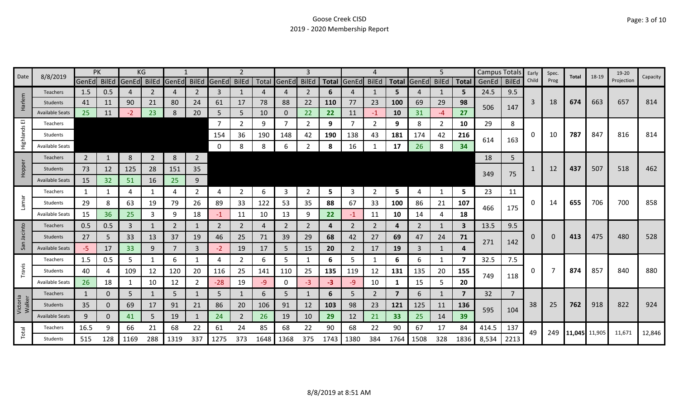|                    |                        | PK             |              |       | ΚG             |                |                |                |                |      |                |                |              |                |                |                |                   | 5              |      | Campus Totals |                | Early | Spec. | Total         | 18-19 | 19-20      | Capacity |
|--------------------|------------------------|----------------|--------------|-------|----------------|----------------|----------------|----------------|----------------|------|----------------|----------------|--------------|----------------|----------------|----------------|-------------------|----------------|------|---------------|----------------|-------|-------|---------------|-------|------------|----------|
| Date               | 8/8/2019               | GenEd BilEd    |              | GenEd | <b>BilEd</b>   | GenEd          | <b>BilEd</b>   | GenEd BilEd    |                |      | Total GenEd    | <b>BilEd</b>   | <b>Total</b> | GenEd          | <b>BilEd</b>   |                | Total GenEd BilEd |                |      | Total GenEd   | <b>BilEd</b>   | Child | Prog  |               |       | Projection |          |
|                    | <b>Teachers</b>        | 1.5            | 0.5          | 4     | 2              | 4              | 2              | 3              | $\mathbf{1}$   |      | 4              | $\overline{2}$ | 6            | 4              | 1              | 5.             | 4                 | 1              | 5    | 24.5          | 9.5            |       |       |               |       |            |          |
| Harlem             | Students               | 41             | 11           | 90    | 21             | 80             | 24             | 61             | 17             | 78   | 88             | 22             | <b>110</b>   | 77             | 23             | 100            | 69                | 29             | 98   | 506           | 147            | 3     | 18    | 674           | 663   | 657        | 814      |
|                    | <b>Available Seats</b> | 25             | 11           | -2    | 23             | 8              | 20             | 5              | 5              | 10   | $\mathbf{0}$   | 22             | 22           | 11             | $-1$           | 10             | 31                | $-4$           | 27   |               |                |       |       |               |       |            |          |
| 画                  | Teachers               |                |              |       |                |                |                |                | $\overline{2}$ | 9    | $\overline{7}$ | $\overline{2}$ | 9            |                | 2              | 9              | 8                 | $\overline{2}$ | 10   | 29            | 8              |       |       |               |       |            |          |
| Highlands          | Students               |                |              |       |                |                |                | 154            | 36             | 190  | 148            | 42             | 190          | 138            | 43             | 181            | 174               | 42             | 216  | 614           | 163            | 0     | 10    | 787           | 847   | 816        | 814      |
|                    | <b>Available Seats</b> |                |              |       |                |                |                | 0              | 8              | 8    | 6              | 2              | 8            | 16             |                | 17             | 26                | 8              | 34   |               |                |       |       |               |       |            |          |
|                    | Teachers               | $\overline{2}$ | 1            | 8     | $\overline{2}$ | 8              | $\overline{2}$ |                |                |      |                |                |              |                |                |                |                   |                |      | 18            | 5              |       |       |               |       |            |          |
| Hopper             | Students               | 73             | 12           | 125   | 28             | 151            | 35             |                |                |      |                |                |              |                |                |                |                   |                |      |               |                |       | 12    | 437           | 507   | 518        | 462      |
|                    | <b>Available Seats</b> | 15             | 32           | 51    | 16             | 25             | 9              |                |                |      |                |                |              |                |                |                |                   |                |      | 349           | 75             |       |       |               |       |            |          |
|                    | Teachers               | 1              | 1            | 4     |                | 4              | $\overline{2}$ | 4              | $\overline{2}$ | 6    | 3              | $\overline{2}$ | 5            | 3              | $\overline{2}$ | 5              | 4                 | 1              | 5    | 23            | 11             |       |       |               |       |            |          |
| Lamar              | Students               | 29             | 8            | 63    | 19             | 79             | 26             | 89             | 33             | 122  | 53             | 35             | 88           | 67             | 33             | 100            | 86                | 21             | 107  |               |                | 0     | 14    | 655           | 706   | 700        | 858      |
|                    | Available Seats        | 15             | 36           | 25    | 3              | 9              | 18             | -1             | 11             | 10   | 13             | 9              | 22           | -1             | 11             | 10             | 14                | 4              | 18   | 466           | 175            |       |       |               |       |            |          |
|                    | <b>Teachers</b>        | 0.5            | 0.5          | 3     |                | $\overline{2}$ | $\mathbf{1}$   | $\overline{2}$ | $\overline{2}$ |      | $\overline{2}$ | 2              | 4            | $\overline{2}$ | $\overline{2}$ | 4              | 2                 | 1              | 3    | 13.5          | 9.5            |       |       |               |       |            |          |
| Jacinto            | <b>Students</b>        | 27             | 5            | 33    | 13             | 37             | 19             | 46             | 25             | 71   | 39             | 29             | 68           | 42             | 27             | 69             | 47                | 24             | 71   |               |                | 0     | 0     | 413           | 475   | 480        | 528      |
| San                | <b>Available Seats</b> | $-5$           | 17           | 33    | 9              | 7              | $\overline{3}$ | $-2$           | 19             | 17   | 5 <sup>1</sup> | 15             | 20           | $\overline{2}$ | 17             | 19             | 3                 | $\mathbf{1}$   | 4    | 271           | 142            |       |       |               |       |            |          |
|                    | Teachers               | 1.5            | 0.5          | 5     |                | 6              | 1              | 4              | $\overline{2}$ | 6    | 5              |                | 6            | 5.             |                | 6              | 6                 | 1              | 7    | 32.5          | 7.5            |       |       |               |       |            |          |
| Travis             | Students               | 40             | 4            | 109   | 12             | 120            | 20             | 116            | 25             | 141  | 110            | 25             | 135          | 119            | 12             | 131            | 135               | 20             | 155  |               |                | 0     |       | 874           | 857   | 840        | 880      |
|                    | <b>Available Seats</b> | 26             | 18           | 1     | 10             | 12             | $\overline{2}$ | $-28$          | 19             | -9   | 0              | -3             | $-3$         | -9             | 10             | 1              | 15                | 5              | 20   | 749           | 118            |       |       |               |       |            |          |
|                    | Teachers               | $\mathbf{1}$   | $\Omega$     | 5     |                | 5              |                | 5              | $\mathbf{1}$   | 6    | 5              |                | 6            | 5.             | $\overline{2}$ | $\overline{7}$ | 6                 | $\mathbf{1}$   | 7    | 32            | $\overline{7}$ |       |       |               |       |            |          |
| Victoria<br>Walker | Students               | 35             | $\mathbf{0}$ | 69    | 17             | 91             | 21             | 86             | 20             | 106  | 91             | 12             | 103          | 98             | 23             | 121            | 125               | 11             | 136  |               |                | 38    | 25    | 762           | 918   | 822        | 924      |
|                    | <b>Available Seats</b> | 9              | $\Omega$     | 41    | 5              | 19             |                | 24             | $\overline{2}$ | 26   | 19             | 10             | 29           | 12             | 21             | 33             | 25                | 14             | 39   | 595           | 104            |       |       |               |       |            |          |
|                    | Teachers               | 16.5           | 9            | 66    | 21             | 68             | 22             | 61             | 24             | 85   | 68             | 22             | 90           | 68             | 22             | 90             | 67                | 17             | 84   | 414.5         | 137            | 49    | 249   | 11,045 11,905 |       | 11,671     |          |
| Total              | Students               | 515            | 128          | 1169  | 288            | 1319           | 337            | 1275           | 373            | 1648 | 1368           | 375            | 1743         | 1380           | 384            | 1764           | 1508              | 328            | 1836 | 8,534         | 2213           |       |       |               |       |            | 12,846   |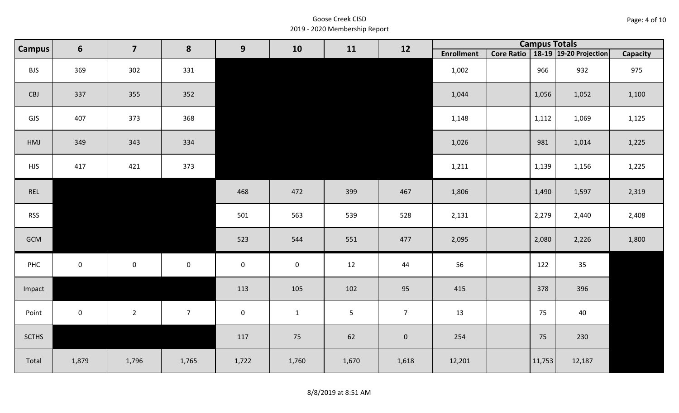| Page: 4 of 10 |  |  |  |
|---------------|--|--|--|
|---------------|--|--|--|

| Campus       | $6\phantom{1}$ | $\overline{\mathbf{z}}$ | 8                   | 9                   | 10           | 11             | 12             |                   | <b>Campus Totals</b> |                                       |                 |
|--------------|----------------|-------------------------|---------------------|---------------------|--------------|----------------|----------------|-------------------|----------------------|---------------------------------------|-----------------|
|              |                |                         |                     |                     |              |                |                | <b>Enrollment</b> |                      | Core Ratio   18-19   19-20 Projection | <b>Capacity</b> |
| <b>BJS</b>   | 369            | 302                     | 331                 |                     |              |                |                | 1,002             | 966                  | 932                                   | 975             |
| CBJ          | 337            | 355                     | 352                 |                     |              |                |                | 1,044             | 1,056                | 1,052                                 | 1,100           |
| GJS          | 407            | 373                     | 368                 |                     |              |                |                | 1,148             | 1,112                | 1,069                                 | 1,125           |
| HMJ          | 349            | 343                     | 334                 |                     |              |                |                | 1,026             | 981                  | 1,014                                 | 1,225           |
| <b>HJS</b>   | 417            | 421                     | 373                 |                     |              |                |                | 1,211             | 1,139                | 1,156                                 | 1,225           |
| REL          |                |                         |                     | 468                 | 472          | 399            | 467            | 1,806             | 1,490                | 1,597                                 | 2,319           |
| <b>RSS</b>   |                |                         |                     | 501                 | 563          | 539            | 528            | 2,131             | 2,279                | 2,440                                 | 2,408           |
| GCM          |                |                         |                     | 523                 | 544          | 551            | 477            | 2,095             | 2,080                | 2,226                                 | 1,800           |
| PHC          | $\mathbf 0$    | $\mathbf 0$             | $\mathsf{O}\xspace$ | $\mathsf{O}\xspace$ | $\mathbf 0$  | 12             | 44             | 56                | 122                  | 35                                    |                 |
| Impact       |                |                         |                     | 113                 | 105          | 102            | 95             | 415               | 378                  | 396                                   |                 |
| Point        | $\mathbf 0$    | $2^{\circ}$             | $7\overline{ }$     | $\mathbf 0$         | $\mathbf{1}$ | $\overline{5}$ | 7 <sup>7</sup> | 13                | 75                   | 40                                    |                 |
| <b>SCTHS</b> |                |                         |                     | 117                 | 75           | 62             | $\mathbf 0$    | 254               | 75                   | 230                                   |                 |
| Total        | 1,879          | 1,796                   | 1,765               | 1,722               | 1,760        | 1,670          | 1,618          | 12,201            | 11,753               | 12,187                                |                 |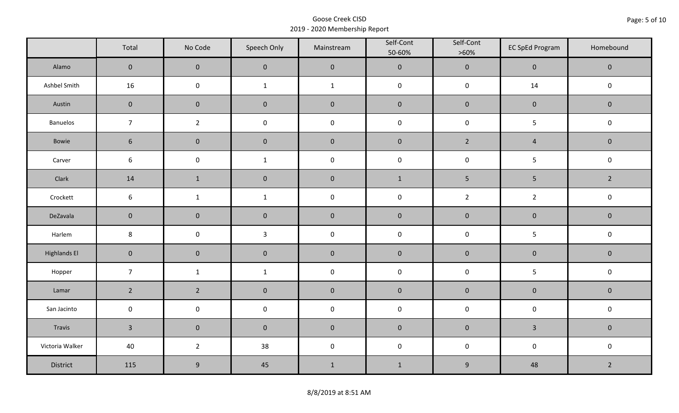|                     | Total               | No Code          | Speech Only  | Mainstream   | Self-Cont<br>50-60% | Self-Cont<br>$>60\%$ | <b>EC SpEd Program</b> | Homebound      |  |
|---------------------|---------------------|------------------|--------------|--------------|---------------------|----------------------|------------------------|----------------|--|
| Alamo               | $\overline{0}$      | $\mathbf{0}$     | $\mathbf{0}$ | $\pmb{0}$    | $\pmb{0}$           | $\pmb{0}$            | $\mathbf 0$            | $\mathbf 0$    |  |
| Ashbel Smith        | 16                  | $\mathsf 0$      | $\mathbf{1}$ | $\mathbf{1}$ | $\pmb{0}$           | $\pmb{0}$            | 14                     | $\mathbf 0$    |  |
| Austin              | $\mathbf 0$         | $\mathbf 0$      | $\mathbf 0$  | $\pmb{0}$    | $\pmb{0}$           | $\pmb{0}$            | $\pmb{0}$              | $\mathbf 0$    |  |
| Banuelos            | $\overline{7}$      | $\overline{2}$   | $\pmb{0}$    | $\pmb{0}$    | $\pmb{0}$           | $\pmb{0}$            | 5                      | $\pmb{0}$      |  |
| Bowie               | $6\phantom{1}$      | $\mathbf 0$      | $\mathbf{0}$ | $\mathbf 0$  | $\mathbf 0$         | $2^{\circ}$          | $\overline{4}$         | $\mathbf 0$    |  |
| Carver              | $\sqrt{6}$          | $\pmb{0}$        | $\mathbf 1$  | $\pmb{0}$    | $\pmb{0}$           | $\pmb{0}$            | 5                      | $\pmb{0}$      |  |
| Clark               | 14                  | $\mathbf{1}$     | $\mathbf 0$  | $\pmb{0}$    | $1\,$               | 5                    | 5                      | $\overline{2}$ |  |
| Crockett            | 6                   | $\mathbf{1}$     | $\mathbf{1}$ | $\pmb{0}$    | $\pmb{0}$           | $\overline{2}$       | $\overline{2}$         | $\pmb{0}$      |  |
| DeZavala            | $\mathbf 0$         | $\mathbf 0$      | $\mathbf 0$  | $\pmb{0}$    | $\pmb{0}$           | $\pmb{0}$            | $\pmb{0}$              | $\pmb{0}$      |  |
| Harlem              | $\bf 8$             | $\pmb{0}$        | $\mathbf{3}$ | $\pmb{0}$    | $\pmb{0}$           | $\pmb{0}$            | 5                      | $\mathsf 0$    |  |
| <b>Highlands El</b> | $\mathbf 0$         | $\mathbf 0$      | $\mathbf 0$  | $\pmb{0}$    | $\pmb{0}$           | $\pmb{0}$            | $\pmb{0}$              | $\mathbf 0$    |  |
| Hopper              | $\overline{7}$      | $\mathbf{1}$     | $\mathbf{1}$ | $\pmb{0}$    | $\pmb{0}$           | $\pmb{0}$            | 5                      | $\pmb{0}$      |  |
| Lamar               | $2^{\circ}$         | $\overline{2}$   | $\mathbf 0$  | $\pmb{0}$    | $\pmb{0}$           | $\pmb{0}$            | $\pmb{0}$              | $\pmb{0}$      |  |
| San Jacinto         | $\mathsf{O}\xspace$ | $\pmb{0}$        | $\pmb{0}$    | $\pmb{0}$    | $\pmb{0}$           | $\pmb{0}$            | $\pmb{0}$              | $\pmb{0}$      |  |
| Travis              | $\overline{3}$      | $\mathbf 0$      | $\mathbf 0$  | $\pmb{0}$    | $\pmb{0}$           | $\pmb{0}$            | $\overline{3}$         | $\mathbf 0$    |  |
| Victoria Walker     | 40                  | $\overline{2}$   | 38           | $\pmb{0}$    | $\pmb{0}$           | $\pmb{0}$            | $\pmb{0}$              | $\pmb{0}$      |  |
| District            | 115                 | $\boldsymbol{9}$ | 45           | $\mathbf 1$  | $\mathbf{1}$        | $\boldsymbol{9}$     | 48                     | $\overline{2}$ |  |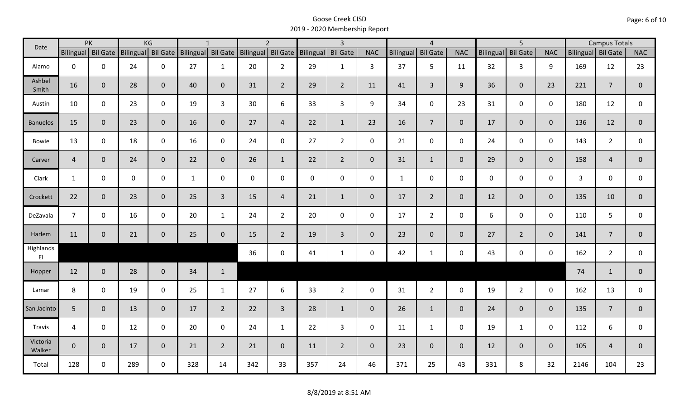| Date                                |                    | PK          |             | KG             |                                                 | $\mathbf{1}$   |             | $\overline{2}$ |                    | $\overline{3}$  |                |                  | $\overline{4}$  |                |                  | $\overline{5}$  |                | <b>Campus Totals</b> |                |                |
|-------------------------------------|--------------------|-------------|-------------|----------------|-------------------------------------------------|----------------|-------------|----------------|--------------------|-----------------|----------------|------------------|-----------------|----------------|------------------|-----------------|----------------|----------------------|----------------|----------------|
|                                     | Bilingual Bil Gate |             |             |                | Bilingual Bil Gate Bilingual Bil Gate Bilingual |                |             |                | Bil Gate Bilingual | <b>Bil Gate</b> | <b>NAC</b>     | <b>Bilingual</b> | <b>Bil Gate</b> | <b>NAC</b>     | <b>Bilingual</b> | <b>Bil Gate</b> | <b>NAC</b>     | Bilingual Bil Gate   |                | <b>NAC</b>     |
| Alamo                               | $\mathbf 0$        | $\mathbf 0$ | 24          | $\mathbf 0$    | 27                                              | $\mathbf{1}$   | 20          | $2^{\circ}$    | 29                 | $\mathbf{1}$    | 3              | 37               | 5               | 11             | 32               | $\overline{3}$  | 9              | 169                  | 12             | 23             |
| Ashbel<br>Smith                     | 16                 | $\mathbf 0$ | 28          | $\mathbf{0}$   | 40                                              | $\mathbf 0$    | 31          | $\overline{2}$ | 29                 | $2^{\circ}$     | 11             | 41               | $\overline{3}$  | 9              | 36               | $\overline{0}$  | 23             | 221                  | $\overline{7}$ | $\mathbf 0$    |
| Austin                              | 10                 | $\mathbf 0$ | 23          | $\mathbf 0$    | 19                                              | $\overline{3}$ | 30          | 6              | 33                 | $\overline{3}$  | 9              | 34               | $\mathbf 0$     | 23             | 31               | $\mathbf 0$     | $\mathbf 0$    | 180                  | 12             | $\mathbf 0$    |
| <b>Banuelos</b>                     | 15                 | $\mathbf 0$ | 23          | $\overline{0}$ | 16                                              | $\mathbf{0}$   | 27          | $\overline{4}$ | 22                 | $\mathbf{1}$    | 23             | 16               | $7\overline{ }$ | $\mathbf 0$    | 17               | $\mathbf{0}$    | $\overline{0}$ | 136                  | 12             | $\mathbf 0$    |
| <b>Bowie</b>                        | 13                 | $\mathbf 0$ | 18          | $\mathbf 0$    | 16                                              | $\mathbf 0$    | 24          | $\mathbf 0$    | 27                 | $2^{\circ}$     | $\mathsf{O}$   | 21               | $\mathbf 0$     | $\mathsf{O}$   | 24               | $\mathbf 0$     | $\mathbf 0$    | 143                  | $\overline{2}$ | $\mathbf 0$    |
| Carver                              | $\overline{4}$     | $\mathbf 0$ | 24          | $\mathbf 0$    | 22                                              | $\mathbf{0}$   | 26          | $\mathbf{1}$   | 22                 | $2^{\circ}$     | $\overline{0}$ | 31               | $\mathbf{1}$    | $\overline{0}$ | 29               | $\overline{0}$  | $\overline{0}$ | 158                  | $\overline{4}$ | $\mathbf 0$    |
| Clark                               | $\mathbf{1}$       | $\mathbf 0$ | $\mathbf 0$ | $\mathbf 0$    | $\mathbf{1}$                                    | $\mathbf 0$    | $\mathbf 0$ | $\mathbf 0$    | $\mathsf{O}$       | $\mathbf 0$     | $\mathbf 0$    | $\mathbf{1}$     | $\pmb{0}$       | $\mathsf{O}$   | $\mathbf 0$      | $\mathbf 0$     | $\mathbf 0$    | $\mathbf{3}$         | $\mathbf 0$    | $\mathbf 0$    |
| Crockett                            | 22                 | $\mathbf 0$ | 23          | $\mathbf{0}$   | 25                                              | $\overline{3}$ | 15          | $\overline{4}$ | 21                 | $\mathbf{1}$    | $\mathbf 0$    | 17               | $2^{\circ}$     | $\overline{0}$ | 12               | $\overline{0}$  | $\overline{0}$ | 135                  | 10             | $\mathbf{0}$   |
| DeZavala                            | $\overline{7}$     | $\mathbf 0$ | 16          | $\mathbf 0$    | 20                                              | $\mathbf{1}$   | 24          | $2^{\circ}$    | 20                 | $\mathbf 0$     | $\mathbf 0$    | 17               | $2^{\circ}$     | $\mathbf 0$    | 6                | $\Omega$        | $\mathbf 0$    | 110                  | 5              | $\mathbf 0$    |
| Harlem                              | 11                 | $\mathbf 0$ | 21          | $\mathbf 0$    | 25                                              | $\mathbf{0}$   | 15          | $\overline{2}$ | 19                 | $\overline{3}$  | $\mathbf{0}$   | 23               | $\overline{0}$  | $\overline{0}$ | 27               | $2^{\circ}$     | $\overline{0}$ | 141                  | $\overline{7}$ | $\overline{0}$ |
| Highlands<br>$\mathsf{E}\mathsf{I}$ |                    |             |             |                |                                                 |                | 36          | $\mathbf 0$    | 41                 | $\mathbf{1}$    | $\mathbf 0$    | 42               | $\mathbf{1}$    | $\mathsf{O}$   | 43               | $\mathbf 0$     | $\mathbf 0$    | 162                  | $\overline{2}$ | $\mathbf 0$    |
| Hopper                              | 12                 | $\mathbf 0$ | 28          | $\mathbf 0$    | 34                                              | $\mathbf{1}$   |             |                |                    |                 |                |                  |                 |                |                  |                 |                | 74                   | $\mathbf{1}$   | $\mathbf{0}$   |
| Lamar                               | 8                  | $\mathbf 0$ | 19          | $\mathbf 0$    | 25                                              | $\mathbf{1}$   | 27          | 6              | 33                 | $2^{\circ}$     | $\mathbf 0$    | 31               | $2^{\circ}$     | $\mathbf 0$    | 19               | $2^{\circ}$     | $\mathbf 0$    | 162                  | 13             | $\mathbf 0$    |
| San Jacinto                         | 5                  | $\mathbf 0$ | 13          | $\mathbf{0}$   | 17                                              | $\overline{2}$ | 22          | $\overline{3}$ | 28                 | $\mathbf{1}$    | $\overline{0}$ | 26               | $\mathbf{1}$    | $\mathbf{0}$   | 24               | $\mathbf{0}$    | $\overline{0}$ | 135                  | $\overline{7}$ | $\mathbf 0$    |
| Travis                              | $\overline{4}$     | $\mathbf 0$ | 12          | $\mathbf 0$    | 20                                              | $\mathbf 0$    | 24          | $\mathbf{1}$   | 22                 | 3               | $\mathbf 0$    | 11               | $\mathbf{1}$    | $\mathbf 0$    | 19               | $\mathbf{1}$    | $\mathbf 0$    | 112                  | 6              | 0              |
| Victoria<br>Walker                  | $\mathbf 0$        | $\mathbf 0$ | 17          | $\mathbf{0}$   | 21                                              | $\overline{2}$ | 21          | $\overline{0}$ | 11                 | $2^{\circ}$     | $\mathbf{0}$   | 23               | $\overline{0}$  | $\overline{0}$ | 12               | $\overline{0}$  | $\overline{0}$ | 105                  | $\overline{4}$ | $\mathbf{0}$   |
| Total                               | 128                | $\mathbf 0$ | 289         | $\mathbf 0$    | 328                                             | 14             | 342         | 33             | 357                | 24              | 46             | 371              | 25              | 43             | 331              | 8               | 32             | 2146                 | 104            | 23             |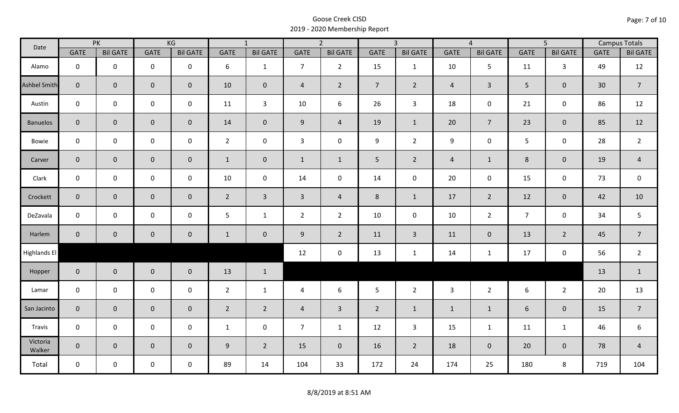| Date               |                | PK              |                     | KG              |                | $\overline{1}$  |                | $\overline{2}$  |                | $\overline{3}$  |                | $\overline{4}$  |                | $\overline{5}$      |                 | <b>Campus Totals</b> |
|--------------------|----------------|-----------------|---------------------|-----------------|----------------|-----------------|----------------|-----------------|----------------|-----------------|----------------|-----------------|----------------|---------------------|-----------------|----------------------|
|                    | <b>GATE</b>    | <b>Bil GATE</b> | <b>GATE</b>         | <b>Bil GATE</b> | <b>GATE</b>    | <b>Bil GATE</b> | <b>GATE</b>    | <b>Bil GATE</b> | <b>GATE</b>    | <b>Bil GATE</b> | <b>GATE</b>    | <b>Bil GATE</b> | <b>GATE</b>    | <b>Bil GATE</b>     | <b>GATE</b>     | <b>Bil GATE</b>      |
| Alamo              | $\mathbf 0$    | $\mathbf 0$     | $\mathbf 0$         | $\mathbf 0$     | 6              | $\mathbf{1}$    | $\overline{7}$ | $\overline{2}$  | 15             | $\mathbf{1}$    | 10             | 5               | 11             | $\overline{3}$      | 49              | 12                   |
| Ashbel Smith       | $\mathbf{0}$   | $\overline{0}$  | $\mathsf{O}\xspace$ | $\mathbf{0}$    | 10             | $\overline{0}$  | $\overline{4}$ | $\overline{2}$  | 7 <sup>1</sup> | $\overline{2}$  | $\overline{4}$ | $\overline{3}$  | 5              | $\mathbf{0}$        | 30 <sup>°</sup> | $\overline{7}$       |
| Austin             | $\mathbf 0$    | $\mathbf 0$     | $\mathsf{O}\xspace$ | $\mathbf 0$     | 11             | $\overline{3}$  | 10             | 6               | 26             | $\mathbf{3}$    | 18             | 0               | 21             | $\mathbf 0$         | 86              | 12                   |
| <b>Banuelos</b>    | $\overline{0}$ | $\mathbf 0$     | $\pmb{0}$           | $\overline{0}$  | 14             | $\overline{0}$  | $\overline{9}$ | $\overline{4}$  | 19             | $\mathbf{1}$    | 20             | $\overline{7}$  | 23             | $\mathbf{0}$        | 85              | 12                   |
| Bowie              | $\mathbf 0$    | $\mathbf 0$     | $\mathsf{O}\xspace$ | $\mathbf 0$     | $2^{\circ}$    | $\mathbf 0$     | $\mathbf{3}$   | $\mathbf 0$     | 9              | $2^{\circ}$     | 9              | 0               | 5 <sup>1</sup> | $\mathbf 0$         | 28              | $\overline{2}$       |
| Carver             | $\overline{0}$ | $\mathbf 0$     | $\pmb{0}$           | $\mathbf{0}$    | $\mathbf{1}$   | $\mathbf 0$     | $\mathbf{1}$   | $\mathbf{1}$    | 5              | $2^{\circ}$     | $\overline{4}$ | $\mathbf{1}$    | $\,8\,$        | $\pmb{0}$           | 19              | $\overline{4}$       |
| Clark              | $\mathbf 0$    | $\mathbf 0$     | $\mathbf 0$         | 0               | $10\,$         | $\mathbf 0$     | 14             | $\mathbf 0$     | 14             | $\mathbf 0$     | 20             | $\mathsf{O}$    | 15             | $\mathbf 0$         | 73              | $\mathsf 0$          |
| Crockett           | $\overline{0}$ | $\mathbf 0$     | $\mathbf 0$         | $\mathbf{0}$    | $2^{\circ}$    | $\overline{3}$  | $\overline{3}$ | $\overline{4}$  | 8              | $\mathbf{1}$    | 17             | $\overline{2}$  | 12             | $\mathbf 0$         | 42              | 10                   |
| DeZavala           | $\mathbf 0$    | $\mathbf 0$     | $\mathsf{O}\xspace$ | $\mathbf 0$     | 5              | $\mathbf{1}$    | $\overline{2}$ | $\overline{2}$  | 10             | $\mathbf 0$     | 10             | $\overline{2}$  | $\overline{7}$ | $\mathbf 0$         | 34              | 5                    |
| Harlem             | $\overline{0}$ | $\mathbf{0}$    | $\mathbf 0$         | $\mathbf{0}$    | $\mathbf{1}$   | $\mathbf 0$     | 9              | $\overline{2}$  | 11             | $\mathbf{3}$    | 11             | $\mathbf{0}$    | 13             | $\overline{2}$      | 45              | $\overline{7}$       |
| Highlands El       |                |                 |                     |                 |                |                 | 12             | $\pmb{0}$       | 13             | $\mathbf{1}$    | 14             | $\mathbf{1}$    | 17             | $\mathsf{O}\xspace$ | 56              | $\overline{2}$       |
| Hopper             | $\overline{0}$ | $\overline{0}$  | $\mathbf 0$         | $\overline{0}$  | 13             | $\mathbf{1}$    |                |                 |                |                 |                |                 |                |                     | 13              | $\mathbf{1}$         |
| Lamar              | $\mathbf 0$    | $\mathbf 0$     | $\mathsf{O}\xspace$ | $\mathbf 0$     | $2^{\circ}$    | $\mathbf{1}$    | $\overline{4}$ | 6               | 5              | $2^{\circ}$     | $\overline{3}$ | $2^{\circ}$     | 6              | $2^{\circ}$         | 20              | 13                   |
| San Jacinto        | $\overline{0}$ | $\mathbf{0}$    | $\mathbf 0$         | $\mathbf{0}$    | $\overline{2}$ | $2^{\circ}$     | $\overline{4}$ | $\overline{3}$  | $2^{\circ}$    | $\mathbf{1}$    | $\mathbf{1}$   | $\mathbf{1}$    | 6              | $\mathbf{0}$        | 15              | $\overline{7}$       |
| Travis             | $\mathbf 0$    | $\mathbf 0$     | $\mathbf 0$         | $\mathbf 0$     | $\mathbf{1}$   | $\mathbf 0$     | $\overline{7}$ | $\mathbf{1}$    | 12             | $\mathbf{3}$    | 15             | $\mathbf{1}$    | 11             | $\mathbf{1}$        | 46              | 6                    |
| Victoria<br>Walker | $\overline{0}$ | $\mathbf 0$     | $\mathbf 0$         | $\mathbf 0$     | 9              | $\overline{2}$  | 15             | $\mathbf{0}$    | 16             | $2^{\circ}$     | 18             | $\mathbf 0$     | 20             | $\mathbf{0}$        | 78              | $\overline{a}$       |
| Total              | $\mathbf 0$    | $\mathbf 0$     | $\mathbf 0$         | $\mathbf 0$     | 89             | 14              | 104            | 33              | 172            | 24              | 174            | 25              | 180            | 8                   | 719             | 104                  |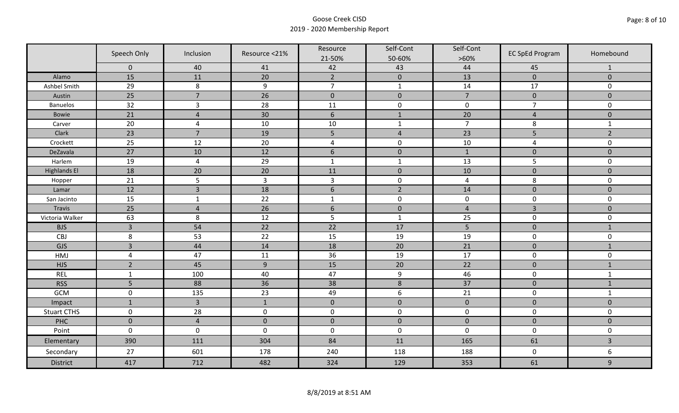|                     | Speech Only    | Inclusion      | Resource <21%    | Resource<br>21-50% | Self-Cont<br>50-60% | Self-Cont<br>$>60\%$ | <b>EC SpEd Program</b> | Homebound      |
|---------------------|----------------|----------------|------------------|--------------------|---------------------|----------------------|------------------------|----------------|
|                     | $\mathbf 0$    | 40             | 41               | 42                 | 43                  | 44                   | 45                     | $\mathbf{1}$   |
| Alamo               | 15             | 11             | 20               | $\overline{2}$     | $\pmb{0}$           | 13                   | $\pmb{0}$              | $\mathbf 0$    |
| Ashbel Smith        | 29             | $\,8\,$        | $\boldsymbol{9}$ | $\overline{7}$     | $\mathbf{1}$        | 14                   | 17                     | 0              |
| Austin              | 25             | $\overline{7}$ | 26               | $\mathbf 0$        | $\pmb{0}$           | $\overline{7}$       | $\pmb{0}$              | $\overline{0}$ |
| <b>Banuelos</b>     | 32             | $\overline{3}$ | 28               | 11                 | $\pmb{0}$           | $\pmb{0}$            | $\overline{7}$         | $\mathbf 0$    |
| <b>Bowie</b>        | 21             | $\overline{4}$ | 30               | $\boldsymbol{6}$   | $1\,$               | 20                   | $\overline{4}$         | $\pmb{0}$      |
| Carver              | 20             | $\overline{4}$ | 10               | 10                 | $\mathbf{1}$        | $\overline{7}$       | 8                      | $\mathbf{1}$   |
| Clark               | 23             | $\overline{7}$ | 19               | 5                  | $\sqrt{4}$          | 23                   | 5                      | $\overline{2}$ |
| Crockett            | 25             | 12             | 20               | $\overline{a}$     | $\pmb{0}$           | 10                   | 4                      | 0              |
| DeZavala            | 27             | 10             | 12               | $6\,$              | $\pmb{0}$           | $\mathbf{1}$         | $\pmb{0}$              | $\overline{0}$ |
| Harlem              | 19             | $\overline{4}$ | 29               | $\mathbf 1$        | $\mathbf 1$         | 13                   | 5                      | 0              |
| <b>Highlands El</b> | 18             | 20             | 20               | 11                 | $\pmb{0}$           | 10                   | $\pmb{0}$              | $\overline{0}$ |
| Hopper              | 21             | 5              | $\overline{3}$   | $\mathsf{3}$       | $\pmb{0}$           | $\overline{4}$       | 8                      | 0              |
| Lamar               | 12             | $\overline{3}$ | 18               | $6\,$              | $\overline{2}$      | 14                   | $\pmb{0}$              | $\mathbf 0$    |
| San Jacinto         | 15             | $\mathbf{1}$   | 22               | $\mathbf{1}$       | $\pmb{0}$           | $\pmb{0}$            | $\pmb{0}$              | 0              |
| Travis              | 25             | $\overline{4}$ | 26               | $6\,$              | $\pmb{0}$           | $\overline{4}$       | $\overline{3}$         | $\pmb{0}$      |
| Victoria Walker     | 63             | 8              | 12               | 5                  | $\mathbf 1$         | 25                   | $\pmb{0}$              | 0              |
| <b>BJS</b>          | $\overline{3}$ | 54             | 22               | 22                 | 17                  | 5                    | $\pmb{0}$              | $\mathbf{1}$   |
| CBJ                 | 8              | 53             | 22               | 15                 | 19                  | 19                   | $\pmb{0}$              | 0              |
| GJS                 | $\overline{3}$ | 44             | 14               | 18                 | 20                  | 21                   | $\mathbf 0$            | $\mathbf{1}$   |
| HMJ                 | $\overline{4}$ | 47             | 11               | 36                 | 19                  | 17                   | $\pmb{0}$              | 0              |
| <b>HJS</b>          | $\overline{2}$ | 45             | $\overline{9}$   | 15                 | 20                  | 22                   | $\pmb{0}$              | $1\,$          |
| <b>REL</b>          | $\mathbf{1}$   | 100            | 40               | 47                 | $\boldsymbol{9}$    | 46                   | $\pmb{0}$              | $\mathbf{1}$   |
| <b>RSS</b>          | 5              | 88             | 36               | 38                 | $\,8\,$             | 37                   | $\pmb{0}$              | $\mathbf{1}$   |
| GCM                 | $\mathsf 0$    | 135            | 23               | 49                 | $\boldsymbol{6}$    | 21                   | $\pmb{0}$              | $\mathbf{1}$   |
| Impact              | $\mathbf{1}$   | $\overline{3}$ | $\mathbf{1}$     | $\mathbf 0$        | $\mathbf 0$         | $\pmb{0}$            | $\mathbf 0$            | $\overline{0}$ |
| <b>Stuart CTHS</b>  | $\mathsf 0$    | 28             | $\pmb{0}$        | $\pmb{0}$          | $\pmb{0}$           | $\pmb{0}$            | $\pmb{0}$              | 0              |
| PHC                 | $\mathbf 0$    | $\overline{4}$ | $\mathbf 0$      | $\pmb{0}$          | $\pmb{0}$           | $\pmb{0}$            | $\pmb{0}$              | $\pmb{0}$      |
| Point               | $\mathbf 0$    | $\mathbf 0$    | $\mathbf 0$      | $\boldsymbol{0}$   | $\pmb{0}$           | $\mathbf 0$          | $\pmb{0}$              | 0              |
| Elementary          | 390            | 111            | 304              | 84                 | 11                  | 165                  | 61                     | $\overline{3}$ |
| Secondary           | 27             | 601            | 178              | 240                | 118                 | 188                  | $\mathbf 0$            | 6              |
| <b>District</b>     | 417            | 712            | 482              | 324                | 129                 | 353                  | 61                     | 9              |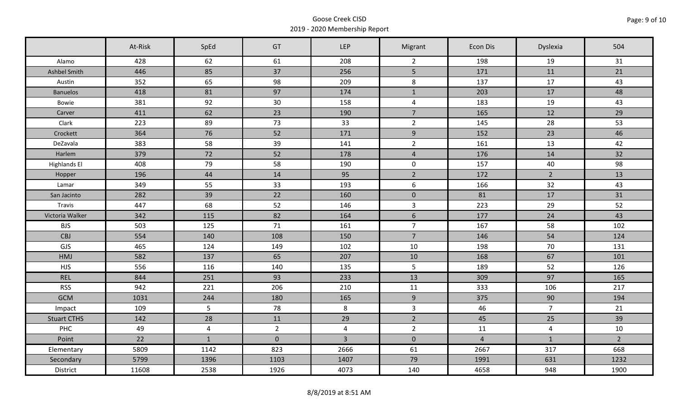|                     | At-Risk | SpEd         | GT          | <b>LEP</b>     | Migrant             | Econ Dis       | Dyslexia       | 504            |
|---------------------|---------|--------------|-------------|----------------|---------------------|----------------|----------------|----------------|
| Alamo               | 428     | 62           | 61          | 208            | $\overline{2}$      | 198            | 19             | 31             |
| Ashbel Smith        | 446     | 85           | 37          | 256            | 5 <sub>1</sub>      | 171            | 11             | 21             |
| Austin              | 352     | 65           | 98          | 209            | 8                   | 137            | 17             | 43             |
| <b>Banuelos</b>     | 418     | 81           | 97          | 174            | $\mathbf{1}$        | 203            | 17             | 48             |
| Bowie               | 381     | 92           | 30          | 158            | $\overline{4}$      | 183            | 19             | 43             |
| Carver              | 411     | 62           | 23          | 190            | $\overline{7}$      | 165            | 12             | 29             |
| Clark               | 223     | 89           | 73          | 33             | $\overline{2}$      | 145            | 28             | 53             |
| Crockett            | 364     | 76           | 52          | 171            | $9\,$               | 152            | 23             | 46             |
| DeZavala            | 383     | 58           | 39          | 141            | $\overline{2}$      | 161            | 13             | 42             |
| Harlem              | 379     | 72           | 52          | 178            | $\overline{4}$      | 176            | 14             | 32             |
| <b>Highlands El</b> | 408     | 79           | 58          | 190            | $\mathsf{O}\xspace$ | 157            | 40             | 98             |
| Hopper              | 196     | 44           | 14          | 95             | $\overline{2}$      | 172            | $2^{\circ}$    | 13             |
| Lamar               | 349     | 55           | 33          | 193            | 6                   | 166            | 32             | 43             |
| San Jacinto         | 282     | 39           | 22          | 160            | $\mathbf 0$         | 81             | 17             | 31             |
| Travis              | 447     | 68           | 52          | 146            | $\overline{3}$      | 223            | 29             | 52             |
| Victoria Walker     | 342     | 115          | 82          | 164            | $\sqrt{6}$          | 177            | 24             | 43             |
| <b>BJS</b>          | 503     | 125          | 71          | 161            | $\overline{7}$      | 167            | 58             | 102            |
| <b>CBJ</b>          | 554     | 140          | 108         | 150            | $\overline{7}$      | 146            | 54             | 124            |
| GJS                 | 465     | 124          | 149         | 102            | 10                  | 198            | 70             | 131            |
| HMJ                 | 582     | 137          | 65          | 207            | 10                  | 168            | 67             | 101            |
| <b>HJS</b>          | 556     | 116          | 140         | 135            | 5                   | 189            | 52             | 126            |
| <b>REL</b>          | 844     | 251          | 93          | 233            | 13                  | 309            | 97             | 165            |
| <b>RSS</b>          | 942     | 221          | 206         | 210            | 11                  | 333            | 106            | 217            |
| <b>GCM</b>          | 1031    | 244          | 180         | 165            | 9                   | 375            | 90             | 194            |
| Impact              | 109     | 5            | 78          | 8              | $\overline{3}$      | 46             | $\overline{7}$ | 21             |
| <b>Stuart CTHS</b>  | 142     | 28           | 11          | 29             | $\overline{2}$      | 45             | 25             | 39             |
| PHC                 | 49      | 4            | $2^{\circ}$ | $\overline{4}$ | $\overline{2}$      | 11             | $\overline{4}$ | 10             |
| Point               | 22      | $\mathbf{1}$ | $\pmb{0}$   | $\overline{3}$ | $\mathbf 0$         | $\overline{4}$ | $1\,$          | $\overline{2}$ |
| Elementary          | 5809    | 1142         | 823         | 2666           | 61                  | 2667           | 317            | 668            |
| Secondary           | 5799    | 1396         | 1103        | 1407           | 79                  | 1991           | 631            | 1232           |
| District            | 11608   | 2538         | 1926        | 4073           | 140                 | 4658           | 948            | 1900           |